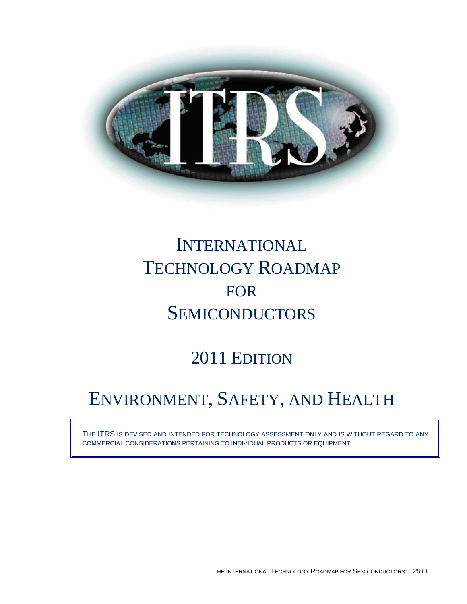

# INTERNATIONAL TECHNOLOGY ROADMAP FOR **SEMICONDUCTORS**

# 2011 EDITION

# ENVIRONMENT, SAFETY, AND HEALTH

THE ITRS IS DEVISED AND INTENDED FOR TECHNOLOGY ASSESSMENT ONLY AND IS WITHOUT REGARD TO ANY COMMERCIAL CONSIDERATIONS PERTAINING TO INDIVIDUAL PRODUCTS OR EQUIPMENT.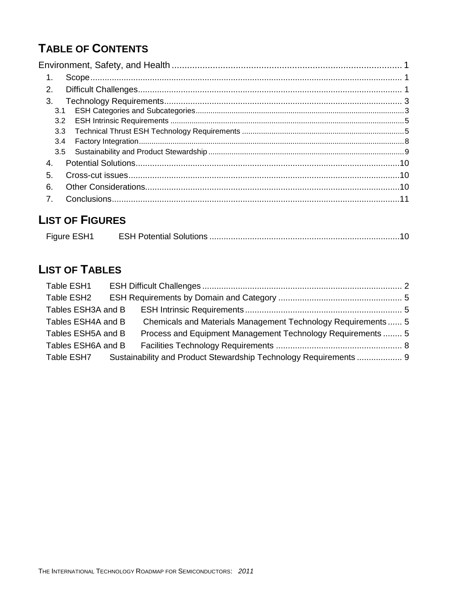# **TABLE OF CONTENTS**

| $\mathbf{1}$ .   |  |
|------------------|--|
| 2.               |  |
| 3.               |  |
| 3.1              |  |
| 3.2              |  |
| 3.3              |  |
| 3.4              |  |
| 3.5              |  |
| 4.               |  |
| 5.               |  |
| 6.               |  |
| $\overline{7}$ . |  |
|                  |  |

## **LIST OF FIGURES**

| Figure ESH1 |  |
|-------------|--|
|             |  |

# **LIST OF TABLES**

| Table ESH1         |                                                                   |  |
|--------------------|-------------------------------------------------------------------|--|
| Table ESH2         |                                                                   |  |
| Tables ESH3A and B |                                                                   |  |
| Tables ESH4A and B | Chemicals and Materials Management Technology Requirements  5     |  |
| Tables ESH5A and B | Process and Equipment Management Technology Requirements  5       |  |
| Tables ESH6A and B |                                                                   |  |
| Table ESH7         | Sustainability and Product Stewardship Technology Requirements  9 |  |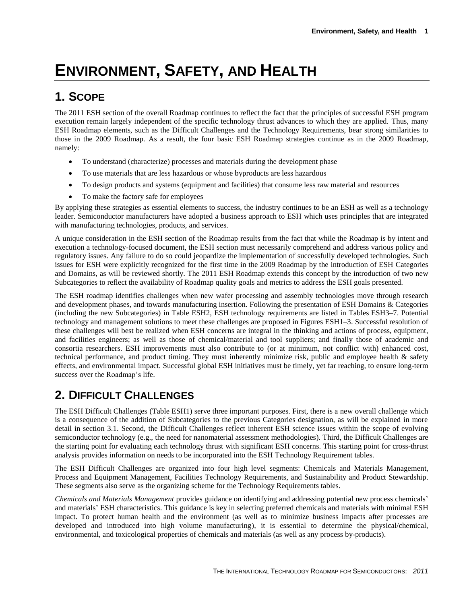# <span id="page-2-0"></span>**ENVIRONMENT, SAFETY, AND HEALTH**

# <span id="page-2-1"></span>**1. SCOPE**

The 2011 ESH section of the overall Roadmap continues to reflect the fact that the principles of successful ESH program execution remain largely independent of the specific technology thrust advances to which they are applied. Thus, many ESH Roadmap elements, such as the Difficult Challenges and the Technology Requirements, bear strong similarities to those in the 2009 Roadmap. As a result, the four basic ESH Roadmap strategies continue as in the 2009 Roadmap, namely:

- To understand (characterize) processes and materials during the development phase
- To use materials that are less hazardous or whose byproducts are less hazardous
- To design products and systems (equipment and facilities) that consume less raw material and resources
- To make the factory safe for employees

By applying these strategies as essential elements to success, the industry continues to be an ESH as well as a technology leader. Semiconductor manufacturers have adopted a business approach to ESH which uses principles that are integrated with manufacturing technologies, products, and services.

A unique consideration in the ESH section of the Roadmap results from the fact that while the Roadmap is by intent and execution a technology-focused document, the ESH section must necessarily comprehend and address various policy and regulatory issues. Any failure to do so could jeopardize the implementation of successfully developed technologies. Such issues for ESH were explicitly recognized for the first time in the 2009 Roadmap by the introduction of ESH Categories and Domains, as will be reviewed shortly. The 2011 ESH Roadmap extends this concept by the introduction of two new Subcategories to reflect the availability of Roadmap quality goals and metrics to address the ESH goals presented.

The ESH roadmap identifies challenges when new wafer processing and assembly technologies move through research and development phases, and towards manufacturing insertion. Following the presentation of ESH Domains & Categories (including the new Subcategories) in Table ESH2, ESH technology requirements are listed in Tables ESH3–7. Potential technology and management solutions to meet these challenges are proposed in Figures ESH1–3. Successful resolution of these challenges will best be realized when ESH concerns are integral in the thinking and actions of process, equipment, and facilities engineers; as well as those of chemical/material and tool suppliers; and finally those of academic and consortia researchers. ESH improvements must also contribute to (or at minimum, not conflict with) enhanced cost, technical performance, and product timing. They must inherently minimize risk, public and employee health & safety effects, and environmental impact. Successful global ESH initiatives must be timely, yet far reaching, to ensure long-term success over the Roadmap's life.

### <span id="page-2-2"></span>**2. DIFFICULT CHALLENGES**

The ESH Difficult Challenges (Table ESH1) serve three important purposes. First, there is a new overall challenge which is a consequence of the addition of Subcategories to the previous Categories designation, as will be explained in more detail in section 3.1. Second, the Difficult Challenges reflect inherent ESH science issues within the scope of evolving semiconductor technology (e.g., the need for nanomaterial assessment methodologies). Third, the Difficult Challenges are the starting point for evaluating each technology thrust with significant ESH concerns. This starting point for cross-thrust analysis provides information on needs to be incorporated into the ESH Technology Requirement tables.

The ESH Difficult Challenges are organized into four high level segments: Chemicals and Materials Management, Process and Equipment Management, Facilities Technology Requirements, and Sustainability and Product Stewardship. These segments also serve as the organizing scheme for the Technology Requirements tables.

*Chemicals and Materials Management* provides guidance on identifying and addressing potential new process chemicals' and materials' ESH characteristics. This guidance is key in selecting preferred chemicals and materials with minimal ESH impact. To protect human health and the environment (as well as to minimize business impacts after processes are developed and introduced into high volume manufacturing), it is essential to determine the physical/chemical, environmental, and toxicological properties of chemicals and materials (as well as any process by-products).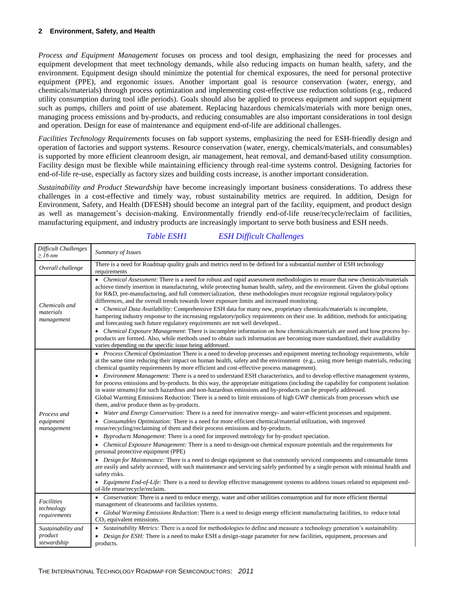*Process and Equipment Management* focuses on process and tool design, emphasizing the need for processes and equipment development that meet technology demands, while also reducing impacts on human health, safety, and the environment. Equipment design should minimize the potential for chemical exposures, the need for personal protective equipment (PPE), and ergonomic issues. Another important goal is resource conservation (water, energy, and chemicals/materials) through process optimization and implementing cost-effective use reduction solutions (e.g., reduced utility consumption during tool idle periods). Goals should also be applied to process equipment and support equipment such as pumps, chillers and point of use abatement. Replacing hazardous chemicals/materials with more benign ones, managing process emissions and by-products, and reducing consumables are also important considerations in tool design and operation. Design for ease of maintenance and equipment end-of-life are additional challenges.

*Facilities Technology Requirements* focuses on fab support systems, emphasizing the need for ESH-friendly design and operation of factories and support systems. Resource conservation (water, energy, chemicals/materials, and consumables) is supported by more efficient cleanroom design, air management, heat removal, and demand-based utility consumption. Facility design must be flexible while maintaining efficiency through real-time systems control. Designing factories for end-of-life re-use, especially as factory sizes and building costs increase, is another important consideration.

*Sustainability and Product Stewardship* have become increasingly important business considerations. To address these challenges in a cost-effective and timely way, robust sustainability metrics are required. In addition, Design for Environment, Safety, and Health (DFESH) should become an integral part of the facility, equipment, and product design as well as management's decision-making. Environmentally friendly end-of-life reuse/recycle/reclaim of facilities, manufacturing equipment, and industry products are increasingly important to serve both business and ESH needs.

<span id="page-3-0"></span>

| Difficult Challenges<br>$\geq$ 16 nm | Summary of Issues                                                                                                                                                                                                                                                                                                                                                                                                                                                                      |
|--------------------------------------|----------------------------------------------------------------------------------------------------------------------------------------------------------------------------------------------------------------------------------------------------------------------------------------------------------------------------------------------------------------------------------------------------------------------------------------------------------------------------------------|
| Overall challenge                    | There is a need for Roadmap quality goals and metrics need to be defined for a substantial number of ESH technology<br>requirements                                                                                                                                                                                                                                                                                                                                                    |
| Chemicals and                        | • Chemical Assessment: There is a need for robust and rapid assessment methodologies to ensure that new chemicals/materials<br>achieve timely insertion in manufacturing, while protecting human health, safety, and the environment. Given the global options<br>for R&D, pre-manufacturing, and full commercialization, these methodologies must recognize regional regulatory/policy<br>differences, and the overall trends towards lower exposure limits and increased monitoring. |
| materials<br>management              | • Chemical Data Availability: Comprehensive ESH data for many new, proprietary chemicals/materials is incomplete,<br>hampering industry response to the increasing regulatory/policy requirements on their use. In addition, methods for anticipating<br>and forecasting such future regulatory requirements are not well developed                                                                                                                                                    |
|                                      | • Chemical Exposure Management: There is incomplete information on how chemicals/materials are used and how process by-<br>products are formed. Also, while methods used to obtain such information are becoming more standardized, their availability<br>varies depending on the specific issue being addressed.                                                                                                                                                                      |
|                                      | • Process Chemical Optimization There is a need to develop processes and equipment meeting technology requirements, while<br>at the same time reducing their impact on human health, safety and the environment (e.g., using more benign materials, reducing<br>chemical quantity requirements by more efficient and cost-effective process management).                                                                                                                               |
|                                      | • Environment Management: There is a need to understand ESH characteristics, and to develop effective management systems,<br>for process emissions and by-products. In this way, the appropriate mitigations (including the capability for component isolation<br>in waste streams) for such hazardous and non-hazardous emissions and by-products can be properly addressed.                                                                                                          |
|                                      | Global Warming Emissions Reduction: There is a need to limit emissions of high GWP chemicals from processes which use<br>them, and/or produce them as by-products.                                                                                                                                                                                                                                                                                                                     |
| Process and                          | • Water and Energy Conservation: There is a need for innovative energy- and water-efficient processes and equipment.                                                                                                                                                                                                                                                                                                                                                                   |
| equipment<br>management              | • Consumables Optimization: There is a need for more efficient chemical/material utilization, with improved<br>reuse/recycling/reclaiming of them and their process emissions and by-products.                                                                                                                                                                                                                                                                                         |
|                                      | Byproducts Management: There is a need for improved metrology for by-product speciation.                                                                                                                                                                                                                                                                                                                                                                                               |
|                                      | • Chemical Exposure Management: There is a need to design-out chemical exposure potentials and the requirements for<br>personal protective equipment (PPE)                                                                                                                                                                                                                                                                                                                             |
|                                      | • Design for Maintenance: There is a need to design equipment so that commonly serviced components and consumable items<br>are easily and safely accessed, with such maintenance and servicing safely performed by a single person with minimal health and<br>safety risks.                                                                                                                                                                                                            |
|                                      | • Equipment End-of-Life: There is a need to develop effective management systems to address issues related to equipment end-<br>of-life reuse/recycle/reclaim.                                                                                                                                                                                                                                                                                                                         |
| Facilities<br>technology             | • Conservation: There is a need to reduce energy, water and other utilities consumption and for more efficient thermal<br>management of cleanrooms and facilities systems.                                                                                                                                                                                                                                                                                                             |
| requirements                         | • Global Warming Emissions Reduction: There is a need to design energy efficient manufacturing facilities, to reduce total<br>$CO2$ equivalent emissions.                                                                                                                                                                                                                                                                                                                              |
| Sustainability and                   | • Sustainability Metrics: There is a need for methodologies to define and measure a technology generation's sustainability.                                                                                                                                                                                                                                                                                                                                                            |
| product<br>stewardship               | Design for ESH: There is a need to make ESH a design-stage parameter for new facilities, equipment, processes and<br>products.                                                                                                                                                                                                                                                                                                                                                         |

#### *Table ESH1 ESH Difficult Challenges*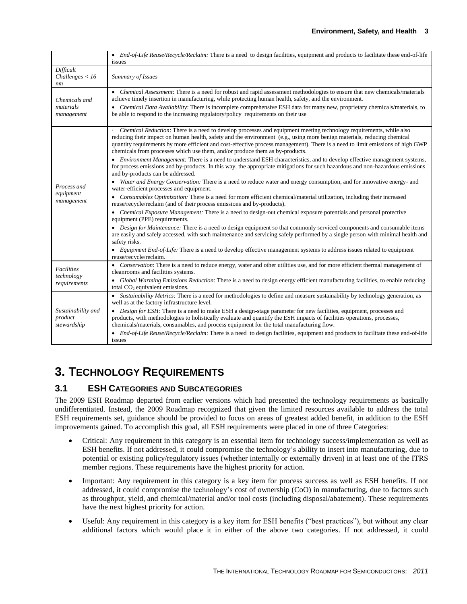|                                              | • End-of-Life Reuse/Recycle/Reclaim: There is a need to design facilities, equipment and products to facilitate these end-of-life<br>issues                                                                                                                                                                                                                                                                                                                                                                                                                                                                                                                                                                                                                                                                                                                                                                                                                                                                                                                                                                                                                                                                                                                                                                                                                                                                                                                                                                                                                                                                                                                                                                              |
|----------------------------------------------|--------------------------------------------------------------------------------------------------------------------------------------------------------------------------------------------------------------------------------------------------------------------------------------------------------------------------------------------------------------------------------------------------------------------------------------------------------------------------------------------------------------------------------------------------------------------------------------------------------------------------------------------------------------------------------------------------------------------------------------------------------------------------------------------------------------------------------------------------------------------------------------------------------------------------------------------------------------------------------------------------------------------------------------------------------------------------------------------------------------------------------------------------------------------------------------------------------------------------------------------------------------------------------------------------------------------------------------------------------------------------------------------------------------------------------------------------------------------------------------------------------------------------------------------------------------------------------------------------------------------------------------------------------------------------------------------------------------------------|
| Difficult<br>Challenges < 16<br>nm           | Summary of Issues                                                                                                                                                                                                                                                                                                                                                                                                                                                                                                                                                                                                                                                                                                                                                                                                                                                                                                                                                                                                                                                                                                                                                                                                                                                                                                                                                                                                                                                                                                                                                                                                                                                                                                        |
| Chemicals and<br>materials<br>management     | • Chemical Assessment: There is a need for robust and rapid assessment methodologies to ensure that new chemicals/materials<br>achieve timely insertion in manufacturing, while protecting human health, safety, and the environment.<br>• Chemical Data Availability: There is incomplete comprehensive ESH data for many new, proprietary chemicals/materials, to<br>be able to respond to the increasing regulatory/policy requirements on their use                                                                                                                                                                                                                                                                                                                                                                                                                                                                                                                                                                                                                                                                                                                                                                                                                                                                                                                                                                                                                                                                                                                                                                                                                                                                  |
| Process and<br>equipment<br>management       | <i>Chemical Reduction:</i> There is a need to develop processes and equipment meeting technology requirements, while also<br>reducing their impact on human health, safety and the environment (e.g., using more benign materials, reducing chemical<br>quantity requirements by more efficient and cost-effective process management). There is a need to limit emissions of high GWP<br>chemicals from processes which use them, and/or produce them as by-products.<br>• Environment Management: There is a need to understand ESH characteristics, and to develop effective management systems,<br>for process emissions and by-products. In this way, the appropriate mitigations for such hazardous and non-hazardous emissions<br>and by-products can be addressed.<br>• Water and Energy Conservation: There is a need to reduce water and energy consumption, and for innovative energy- and<br>water-efficient processes and equipment.<br>• Consumables Optimization: There is a need for more efficient chemical/material utilization, including their increased<br>reuse/recycle/reclaim (and of their process emissions and by-products).<br>• Chemical Exposure Management: There is a need to design-out chemical exposure potentials and personal protective<br>equipment (PPE) requirements.<br>• Design for Maintenance: There is a need to design equipment so that commonly serviced components and consumable items<br>are easily and safely accessed, with such maintenance and servicing safely performed by a single person with minimal health and<br>safety risks.<br>• Equipment End-of-Life: There is a need to develop effective management systems to address issues related to equipment |
| Facilities<br>technology<br>requirements     | reuse/recycle/reclaim.<br>• Conservation: There is a need to reduce energy, water and other utilities use, and for more efficient thermal management of<br>cleanrooms and facilities systems.<br>• Global Warming Emissions Reduction: There is a need to design energy efficient manufacturing facilities, to enable reducing<br>total CO <sub>2</sub> equivalent emissions.                                                                                                                                                                                                                                                                                                                                                                                                                                                                                                                                                                                                                                                                                                                                                                                                                                                                                                                                                                                                                                                                                                                                                                                                                                                                                                                                            |
| Sustainability and<br>product<br>stewardship | • Sustainability Metrics: There is a need for methodologies to define and measure sustainability by technology generation, as<br>well as at the factory infrastructure level.<br>• Design for ESH: There is a need to make ESH a design-stage parameter for new facilities, equipment, processes and<br>products, with methodologies to holistically evaluate and quantify the ESH impacts of facilities operations, processes,<br>chemicals/materials, consumables, and process equipment for the total manufacturing flow.<br>• End-of-Life Reuse/Recycle/Reclaim: There is a need to design facilities, equipment and products to facilitate these end-of-life<br>issues                                                                                                                                                                                                                                                                                                                                                                                                                                                                                                                                                                                                                                                                                                                                                                                                                                                                                                                                                                                                                                              |

### <span id="page-4-0"></span>**3. TECHNOLOGY REQUIREMENTS**

#### <span id="page-4-1"></span>**3.1 ESH CATEGORIES AND SUBCATEGORIES**

The 2009 ESH Roadmap departed from earlier versions which had presented the technology requirements as basically undifferentiated. Instead, the 2009 Roadmap recognized that given the limited resources available to address the total ESH requirements set, guidance should be provided to focus on areas of greatest added benefit, in addition to the ESH improvements gained. To accomplish this goal, all ESH requirements were placed in one of three Categories:

- Critical: Any requirement in this category is an essential item for technology success/implementation as well as ESH benefits. If not addressed, it could compromise the technology's ability to insert into manufacturing, due to potential or existing policy/regulatory issues (whether internally or externally driven) in at least one of the ITRS member regions. These requirements have the highest priority for action.
- Important: Any requirement in this category is a key item for process success as well as ESH benefits. If not addressed, it could compromise the technology's cost of ownership (CoO) in manufacturing, due to factors such as throughput, yield, and chemical/material and/or tool costs (including disposal/abatement). These requirements have the next highest priority for action.
- Useful: Any requirement in this category is a key item for ESH benefits ("best practices"), but without any clear additional factors which would place it in either of the above two categories. If not addressed, it could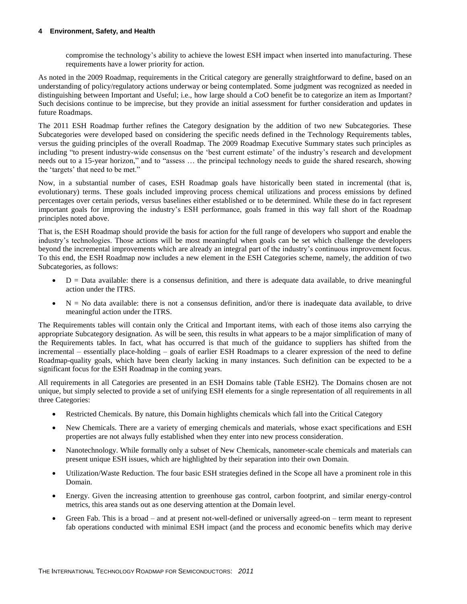#### **4 Environment, Safety, and Health**

compromise the technology's ability to achieve the lowest ESH impact when inserted into manufacturing. These requirements have a lower priority for action.

As noted in the 2009 Roadmap, requirements in the Critical category are generally straightforward to define, based on an understanding of policy/regulatory actions underway or being contemplated. Some judgment was recognized as needed in distinguishing between Important and Useful; i.e., how large should a CoO benefit be to categorize an item as Important? Such decisions continue to be imprecise, but they provide an initial assessment for further consideration and updates in future Roadmaps.

The 2011 ESH Roadmap further refines the Category designation by the addition of two new Subcategories. These Subcategories were developed based on considering the specific needs defined in the Technology Requirements tables, versus the guiding principles of the overall Roadmap. The 2009 Roadmap Executive Summary states such principles as including "to present industry-wide consensus on the 'best current estimate' of the industry's research and development needs out to a 15-year horizon," and to "assess … the principal technology needs to guide the shared research, showing the 'targets' that need to be met."

Now, in a substantial number of cases, ESH Roadmap goals have historically been stated in incremental (that is, evolutionary) terms. These goals included improving process chemical utilizations and process emissions by defined percentages over certain periods, versus baselines either established or to be determined. While these do in fact represent important goals for improving the industry's ESH performance, goals framed in this way fall short of the Roadmap principles noted above.

That is, the ESH Roadmap should provide the basis for action for the full range of developers who support and enable the industry's technologies. Those actions will be most meaningful when goals can be set which challenge the developers beyond the incremental improvements which are already an integral part of the industry's continuous improvement focus. To this end, the ESH Roadmap now includes a new element in the ESH Categories scheme, namely, the addition of two Subcategories, as follows:

- D = Data available: there is a consensus definition, and there is adequate data available, to drive meaningful action under the ITRS.
- $\bullet$  N = No data available: there is not a consensus definition, and/or there is inadequate data available, to drive meaningful action under the ITRS.

The Requirements tables will contain only the Critical and Important items, with each of those items also carrying the appropriate Subcategory designation. As will be seen, this results in what appears to be a major simplification of many of the Requirements tables. In fact, what has occurred is that much of the guidance to suppliers has shifted from the incremental – essentially place-holding – goals of earlier ESH Roadmaps to a clearer expression of the need to define Roadmap-quality goals, which have been clearly lacking in many instances. Such definition can be expected to be a significant focus for the ESH Roadmap in the coming years.

All requirements in all Categories are presented in an ESH Domains table (Table ESH2). The Domains chosen are not unique, but simply selected to provide a set of unifying ESH elements for a single representation of all requirements in all three Categories:

- Restricted Chemicals. By nature, this Domain highlights chemicals which fall into the Critical Category
- New Chemicals. There are a variety of emerging chemicals and materials, whose exact specifications and ESH properties are not always fully established when they enter into new process consideration.
- Nanotechnology. While formally only a subset of New Chemicals, nanometer-scale chemicals and materials can present unique ESH issues, which are highlighted by their separation into their own Domain.
- Utilization/Waste Reduction. The four basic ESH strategies defined in the Scope all have a prominent role in this Domain.
- Energy. Given the increasing attention to greenhouse gas control, carbon footprint, and similar energy-control metrics, this area stands out as one deserving attention at the Domain level.
- Green Fab. This is a broad and at present not-well-defined or universally agreed-on term meant to represent fab operations conducted with minimal ESH impact (and the process and economic benefits which may derive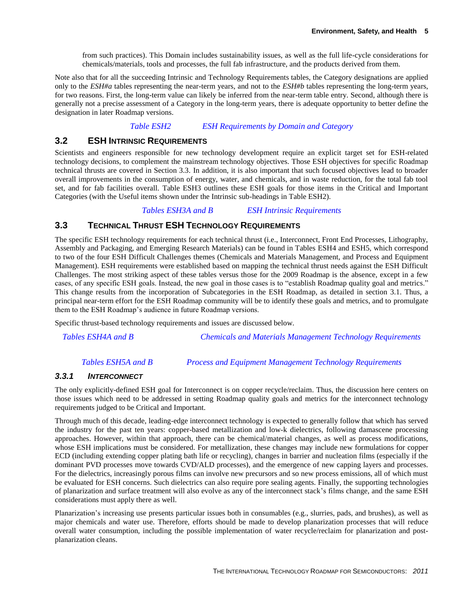from such practices). This Domain includes sustainability issues, as well as the full life-cycle considerations for chemicals/materials, tools and processes, the full fab infrastructure, and the products derived from them.

Note also that for all the succeeding Intrinsic and Technology Requirements tables, the Category designations are applied only to the *ESH#a* tables representing the near-term years, and not to the *ESH#b* tables representing the long-term years, for two reasons. First, the long-term value can likely be inferred from the near-term table entry. Second, although there is generally not a precise assessment of a Category in the long-term years, there is adequate opportunity to better define the designation in later Roadmap versions.

#### *Table ESH2 ESH Requirements by Domain and Category*

#### <span id="page-6-2"></span><span id="page-6-0"></span>**3.2 ESH INTRINSIC REQUIREMENTS**

Scientists and engineers responsible for new technology development require an explicit target set for ESH-related technology decisions, to complement the mainstream technology objectives. Those ESH objectives for specific Roadmap technical thrusts are covered in Section 3.3. In addition, it is also important that such focused objectives lead to broader overall improvements in the consumption of energy, water, and chemicals, and in waste reduction, for the total fab tool set, and for fab facilities overall. Table ESH3 outlines these ESH goals for those items in the Critical and Important Categories (with the Useful items shown under the Intrinsic sub-headings in Table ESH2).

#### *Tables ESH3A and B ESH Intrinsic Requirements*

#### <span id="page-6-3"></span><span id="page-6-1"></span>**3.3 TECHNICAL THRUST ESH TECHNOLOGY REQUIREMENTS**

The specific ESH technology requirements for each technical thrust (i.e., Interconnect, Front End Processes, Lithography, Assembly and Packaging, and Emerging Research Materials) can be found in Tables ESH4 and ESH5, which correspond to two of the four ESH Difficult Challenges themes (Chemicals and Materials Management, and Process and Equipment Management). ESH requirements were established based on mapping the technical thrust needs against the ESH Difficult Challenges. The most striking aspect of these tables versus those for the 2009 Roadmap is the absence, except in a few cases, of any specific ESH goals. Instead, the new goal in those cases is to "establish Roadmap quality goal and metrics." This change results from the incorporation of Subcategories in the ESH Roadmap, as detailed in section 3.1. Thus, a principal near-term effort for the ESH Roadmap community will be to identify these goals and metrics, and to promulgate them to the ESH Roadmap's audience in future Roadmap versions.

Specific thrust-based technology requirements and issues are discussed below.

<span id="page-6-4"></span>

*Tables ESH4A and B Chemicals and Materials Management Technology Requirements*

#### *Tables ESH5A and B Process and Equipment Management Technology Requirements*

#### <span id="page-6-5"></span>*3.3.1 INTERCONNECT*

The only explicitly-defined ESH goal for Interconnect is on copper recycle/reclaim. Thus, the discussion here centers on those issues which need to be addressed in setting Roadmap quality goals and metrics for the interconnect technology requirements judged to be Critical and Important.

Through much of this decade, leading-edge interconnect technology is expected to generally follow that which has served the industry for the past ten years: copper-based metallization and low-k dielectrics, following damascene processing approaches. However, within that approach, there can be chemical/material changes, as well as process modifications, whose ESH implications must be considered. For metallization, these changes may include new formulations for copper ECD (including extending copper plating bath life or recycling), changes in barrier and nucleation films (especially if the dominant PVD processes move towards CVD/ALD processes), and the emergence of new capping layers and processes. For the dielectrics, increasingly porous films can involve new precursors and so new process emissions, all of which must be evaluated for ESH concerns. Such dielectrics can also require pore sealing agents. Finally, the supporting technologies of planarization and surface treatment will also evolve as any of the interconnect stack's films change, and the same ESH considerations must apply there as well.

Planarization's increasing use presents particular issues both in consumables (e.g., slurries, pads, and brushes), as well as major chemicals and water use. Therefore, efforts should be made to develop planarization processes that will reduce overall water consumption, including the possible implementation of water recycle/reclaim for planarization and postplanarization cleans.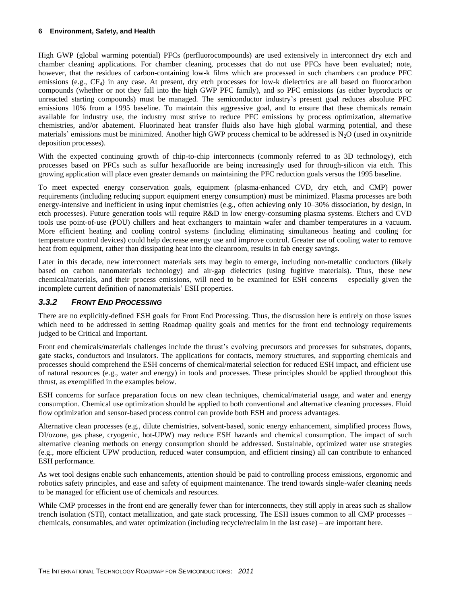#### **6 Environment, Safety, and Health**

High GWP (global warming potential) PFCs (perfluorocompounds) are used extensively in interconnect dry etch and chamber cleaning applications. For chamber cleaning, processes that do not use PFCs have been evaluated; note, however, that the residues of carbon-containing low-k films which are processed in such chambers can produce PFC emissions (e.g., CF<sub>4</sub>) in any case. At present, dry etch processes for low-k dielectrics are all based on fluorocarbon compounds (whether or not they fall into the high GWP PFC family), and so PFC emissions (as either byproducts or unreacted starting compounds) must be managed. The semiconductor industry's present goal reduces absolute PFC emissions 10% from a 1995 baseline. To maintain this aggressive goal, and to ensure that these chemicals remain available for industry use, the industry must strive to reduce PFC emissions by process optimization, alternative chemistries, and/or abatement. Fluorinated heat transfer fluids also have high global warming potential, and these materials' emissions must be minimized. Another high GWP process chemical to be addressed is  $N_2O$  (used in oxynitride deposition processes).

With the expected continuing growth of chip-to-chip interconnects (commonly referred to as 3D technology), etch processes based on PFCs such as sulfur hexafluoride are being increasingly used for through-silicon via etch. This growing application will place even greater demands on maintaining the PFC reduction goals versus the 1995 baseline.

To meet expected energy conservation goals, equipment (plasma-enhanced CVD, dry etch, and CMP) power requirements (including reducing support equipment energy consumption) must be minimized. Plasma processes are both energy-intensive and inefficient in using input chemistries (e.g., often achieving only 10–30% dissociation, by design, in etch processes). Future generation tools will require R&D in low energy-consuming plasma systems. Etchers and CVD tools use point-of-use (POU) chillers and heat exchangers to maintain wafer and chamber temperatures in a vacuum. More efficient heating and cooling control systems (including eliminating simultaneous heating and cooling for temperature control devices) could help decrease energy use and improve control. Greater use of cooling water to remove heat from equipment, rather than dissipating heat into the cleanroom, results in fab energy savings.

Later in this decade, new interconnect materials sets may begin to emerge, including non-metallic conductors (likely based on carbon nanomaterials technology) and air-gap dielectrics (using fugitive materials). Thus, these new chemical/materials, and their process emissions, will need to be examined for ESH concerns – especially given the incomplete current definition of nanomaterials' ESH properties.

#### *3.3.2 FRONT END PROCESSING*

There are no explicitly-defined ESH goals for Front End Processing. Thus, the discussion here is entirely on those issues which need to be addressed in setting Roadmap quality goals and metrics for the front end technology requirements judged to be Critical and Important.

Front end chemicals/materials challenges include the thrust's evolving precursors and processes for substrates, dopants, gate stacks, conductors and insulators. The applications for contacts, memory structures, and supporting chemicals and processes should comprehend the ESH concerns of chemical/material selection for reduced ESH impact, and efficient use of natural resources (e.g., water and energy) in tools and processes. These principles should be applied throughout this thrust, as exemplified in the examples below.

ESH concerns for surface preparation focus on new clean techniques, chemical/material usage, and water and energy consumption. Chemical use optimization should be applied to both conventional and alternative cleaning processes. Fluid flow optimization and sensor-based process control can provide both ESH and process advantages.

Alternative clean processes (e.g., dilute chemistries, solvent-based, sonic energy enhancement, simplified process flows, DI/ozone, gas phase, cryogenic, hot-UPW) may reduce ESH hazards and chemical consumption. The impact of such alternative cleaning methods on energy consumption should be addressed. Sustainable, optimized water use strategies (e.g., more efficient UPW production, reduced water consumption, and efficient rinsing) all can contribute to enhanced ESH performance.

As wet tool designs enable such enhancements, attention should be paid to controlling process emissions, ergonomic and robotics safety principles, and ease and safety of equipment maintenance. The trend towards single-wafer cleaning needs to be managed for efficient use of chemicals and resources.

While CMP processes in the front end are generally fewer than for interconnects, they still apply in areas such as shallow trench isolation (STI), contact metallization, and gate stack processing. The ESH issues common to all CMP processes – chemicals, consumables, and water optimization (including recycle/reclaim in the last case) – are important here.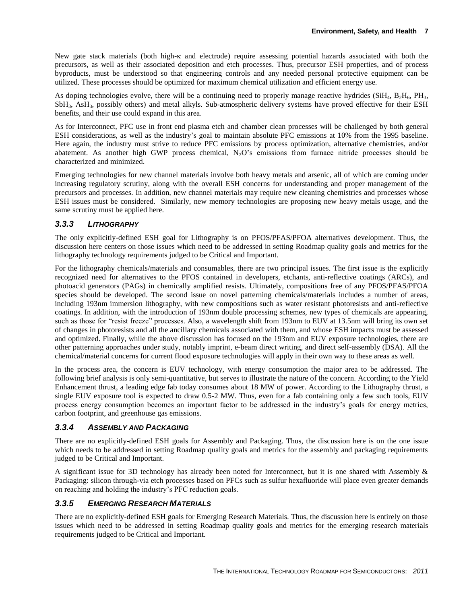New gate stack materials (both high- $\kappa$  and electrode) require assessing potential hazards associated with both the precursors, as well as their associated deposition and etch processes. Thus, precursor ESH properties, and of process byproducts, must be understood so that engineering controls and any needed personal protective equipment can be utilized. These processes should be optimized for maximum chemical utilization and efficient energy use.

As doping technologies evolve, there will be a continuing need to properly manage reactive hydrides (SiH<sub>4</sub>, B<sub>2</sub>H<sub>6</sub>, PH<sub>3</sub>, SbH3, AsH3, possibly others) and metal alkyls. Sub-atmospheric delivery systems have proved effective for their ESH benefits, and their use could expand in this area.

As for Interconnect, PFC use in front end plasma etch and chamber clean processes will be challenged by both general ESH considerations, as well as the industry's goal to maintain absolute PFC emissions at 10% from the 1995 baseline. Here again, the industry must strive to reduce PFC emissions by process optimization, alternative chemistries, and/or abatement. As another high GWP process chemical,  $N<sub>2</sub>O$ 's emissions from furnace nitride processes should be characterized and minimized.

Emerging technologies for new channel materials involve both heavy metals and arsenic, all of which are coming under increasing regulatory scrutiny, along with the overall ESH concerns for understanding and proper management of the precursors and processes. In addition, new channel materials may require new cleaning chemistries and processes whose ESH issues must be considered. Similarly, new memory technologies are proposing new heavy metals usage, and the same scrutiny must be applied here.

#### *3.3.3 LITHOGRAPHY*

The only explicitly-defined ESH goal for Lithography is on PFOS/PFAS/PFOA alternatives development. Thus, the discussion here centers on those issues which need to be addressed in setting Roadmap quality goals and metrics for the lithography technology requirements judged to be Critical and Important.

For the lithography chemicals/materials and consumables, there are two principal issues. The first issue is the explicitly recognized need for alternatives to the PFOS contained in developers, etchants, anti-reflective coatings (ARCs), and photoacid generators (PAGs) in chemically amplified resists. Ultimately, compositions free of any PFOS/PFAS/PFOA species should be developed. The second issue on novel patterning chemicals/materials includes a number of areas, including 193nm immersion lithography, with new compositions such as water resistant photoresists and anti-reflective coatings. In addition, with the introduction of 193nm double processing schemes, new types of chemicals are appearing, such as those for "resist freeze" processes. Also, a wavelength shift from 193nm to EUV at 13.5nm will bring its own set of changes in photoresists and all the ancillary chemicals associated with them, and whose ESH impacts must be assessed and optimized. Finally, while the above discussion has focused on the 193nm and EUV exposure technologies, there are other patterning approaches under study, notably imprint, e-beam direct writing, and direct self-assembly (DSA). All the chemical/material concerns for current flood exposure technologies will apply in their own way to these areas as well.

In the process area, the concern is EUV technology, with energy consumption the major area to be addressed. The following brief analysis is only semi-quantitative, but serves to illustrate the nature of the concern. According to the Yield Enhancement thrust, a leading edge fab today consumes about 18 MW of power. According to the Lithography thrust, a single EUV exposure tool is expected to draw 0.5-2 MW. Thus, even for a fab containing only a few such tools, EUV process energy consumption becomes an important factor to be addressed in the industry's goals for energy metrics, carbon footprint, and greenhouse gas emissions.

#### *3.3.4 ASSEMBLY AND PACKAGING*

There are no explicitly-defined ESH goals for Assembly and Packaging. Thus, the discussion here is on the one issue which needs to be addressed in setting Roadmap quality goals and metrics for the assembly and packaging requirements judged to be Critical and Important.

A significant issue for 3D technology has already been noted for Interconnect, but it is one shared with Assembly & Packaging: silicon through-via etch processes based on PFCs such as sulfur hexafluoride will place even greater demands on reaching and holding the industry's PFC reduction goals.

#### *3.3.5 EMERGING RESEARCH MATERIALS*

There are no explicitly-defined ESH goals for Emerging Research Materials. Thus, the discussion here is entirely on those issues which need to be addressed in setting Roadmap quality goals and metrics for the emerging research materials requirements judged to be Critical and Important.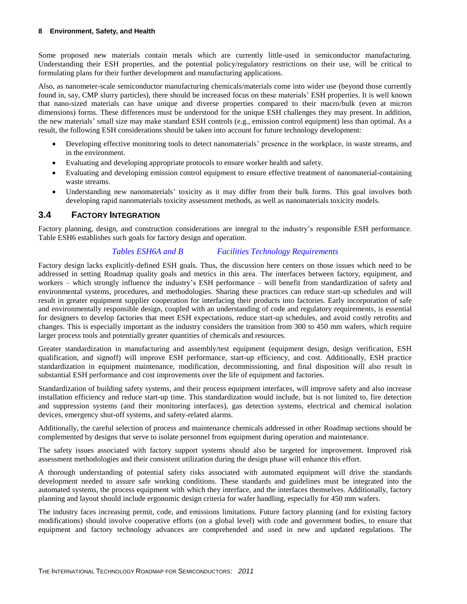Some proposed new materials contain metals which are currently little-used in semiconductor manufacturing. Understanding their ESH properties, and the potential policy/regulatory restrictions on their use, will be critical to formulating plans for their further development and manufacturing applications.

Also, as nanometer-scale semiconductor manufacturing chemicals/materials come into wider use (beyond those currently found in, say, CMP slurry particles), there should be increased focus on these materials' ESH properties. It is well known that nano-sized materials can have unique and diverse properties compared to their macro/bulk (even at micron dimensions) forms. These differences must be understood for the unique ESH challenges they may present. In addition, the new materials' small size may make standard ESH controls (e.g., emission control equipment) less than optimal. As a result, the following ESH considerations should be taken into account for future technology development:

- Developing effective monitoring tools to detect nanomaterials' presence in the workplace, in waste streams, and in the environment.
- Evaluating and developing appropriate protocols to ensure worker health and safety.
- Evaluating and developing emission control equipment to ensure effective treatment of nanomaterial-containing waste streams.
- Understanding new nanomaterials' toxicity as it may differ from their bulk forms. This goal involves both developing rapid nanomaterials toxicity assessment methods, as well as nanomaterials toxicity models.

#### <span id="page-9-0"></span>**3.4 FACTORY INTEGRATION**

Factory planning, design, and construction considerations are integral to the industry's responsible ESH performance. Table ESH6 establishes such goals for factory design and operation.

#### *Tables ESH6A and B Facilities Technology Requirements*

<span id="page-9-1"></span>Factory design lacks explicitly-defined ESH goals. Thus, the discussion here centers on those issues which need to be addressed in setting Roadmap quality goals and metrics in this area. The interfaces between factory, equipment, and workers – which strongly influence the industry's ESH performance – will benefit from standardization of safety and environmental systems, procedures, and methodologies. Sharing these practices can reduce start-up schedules and will result in greater equipment supplier cooperation for interfacing their products into factories. Early incorporation of safe and environmentally responsible design, coupled with an understanding of code and regulatory requirements, is essential for designers to develop factories that meet ESH expectations, reduce start-up schedules, and avoid costly retrofits and changes. This is especially important as the industry considers the transition from 300 to 450 mm wafers, which require larger process tools and potentially greater quantities of chemicals and resources.

Greater standardization in manufacturing and assembly/test equipment (equipment design, design verification, ESH qualification, and signoff) will improve ESH performance, start-up efficiency, and cost. Additionally, ESH practice standardization in equipment maintenance, modification, decommissioning, and final disposition will also result in substantial ESH performance and cost improvements over the life of equipment and factories.

Standardization of building safety systems, and their process equipment interfaces, will improve safety and also increase installation efficiency and reduce start-up time. This standardization would include, but is not limited to, fire detection and suppression systems (and their monitoring interfaces), gas detection systems, electrical and chemical isolation devices, emergency shut-off systems, and safety-related alarms.

Additionally, the careful selection of process and maintenance chemicals addressed in other Roadmap sections should be complemented by designs that serve to isolate personnel from equipment during operation and maintenance.

The safety issues associated with factory support systems should also be targeted for improvement. Improved risk assessment methodologies and their consistent utilization during the design phase will enhance this effort.

A thorough understanding of potential safety risks associated with automated equipment will drive the standards development needed to assure safe working conditions. These standards and guidelines must be integrated into the automated systems, the process equipment with which they interface, and the interfaces themselves. Additionally, factory planning and layout should include ergonomic design criteria for wafer handling, especially for 450 mm wafers.

The industry faces increasing permit, code, and emissions limitations. Future factory planning (and for existing factory modifications) should involve cooperative efforts (on a global level) with code and government bodies, to ensure that equipment and factory technology advances are comprehended and used in new and updated regulations. The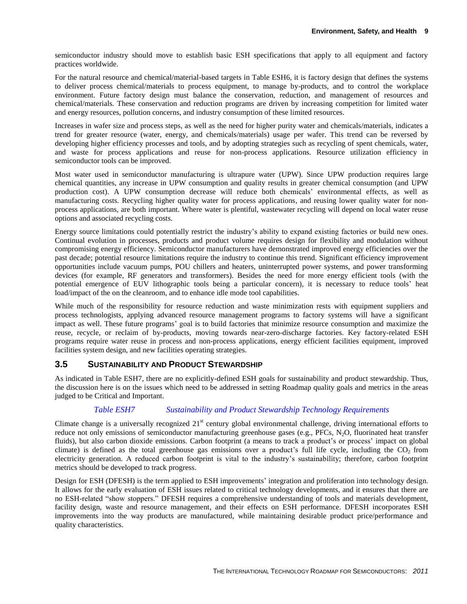semiconductor industry should move to establish basic ESH specifications that apply to all equipment and factory practices worldwide.

For the natural resource and chemical/material-based targets in Table ESH6, it is factory design that defines the systems to deliver process chemical/materials to process equipment, to manage by-products, and to control the workplace environment. Future factory design must balance the conservation, reduction, and management of resources and chemical/materials. These conservation and reduction programs are driven by increasing competition for limited water and energy resources, pollution concerns, and industry consumption of these limited resources.

Increases in wafer size and process steps, as well as the need for higher purity water and chemicals/materials, indicates a trend for greater resource (water, energy, and chemicals/materials) usage per wafer. This trend can be reversed by developing higher efficiency processes and tools, and by adopting strategies such as recycling of spent chemicals, water, and waste for process applications and reuse for non-process applications. Resource utilization efficiency in semiconductor tools can be improved.

Most water used in semiconductor manufacturing is ultrapure water (UPW). Since UPW production requires large chemical quantities, any increase in UPW consumption and quality results in greater chemical consumption (and UPW production cost). A UPW consumption decrease will reduce both chemicals' environmental effects, as well as manufacturing costs. Recycling higher quality water for process applications, and reusing lower quality water for nonprocess applications, are both important. Where water is plentiful, wastewater recycling will depend on local water reuse options and associated recycling costs.

Energy source limitations could potentially restrict the industry's ability to expand existing factories or build new ones. Continual evolution in processes, products and product volume requires design for flexibility and modulation without compromising energy efficiency. Semiconductor manufacturers have demonstrated improved energy efficiencies over the past decade; potential resource limitations require the industry to continue this trend. Significant efficiency improvement opportunities include vacuum pumps, POU chillers and heaters, uninterrupted power systems, and power transforming devices (for example, RF generators and transformers). Besides the need for more energy efficient tools (with the potential emergence of EUV lithographic tools being a particular concern), it is necessary to reduce tools' heat load/impact of the on the cleanroom, and to enhance idle mode tool capabilities.

While much of the responsibility for resource reduction and waste minimization rests with equipment suppliers and process technologists, applying advanced resource management programs to factory systems will have a significant impact as well. These future programs' goal is to build factories that minimize resource consumption and maximize the reuse, recycle, or reclaim of by-products, moving towards near-zero-discharge factories. Key factory-related ESH programs require water reuse in process and non-process applications, energy efficient facilities equipment, improved facilities system design, and new facilities operating strategies.

#### <span id="page-10-0"></span>**3.5 SUSTAINABILITY AND PRODUCT STEWARDSHIP**

As indicated in Table ESH7, there are no explicitly-defined ESH goals for sustainability and product stewardship. Thus, the discussion here is on the issues which need to be addressed in setting Roadmap quality goals and metrics in the areas judged to be Critical and Important.

#### *Table ESH7 Sustainability and Product Stewardship Technology Requirements*

<span id="page-10-1"></span>Climate change is a universally recognized 21<sup>st</sup> century global environmental challenge, driving international efforts to reduce not only emissions of semiconductor manufacturing greenhouse gases (e.g., PFCs, N<sub>2</sub>O, fluorinated heat transfer fluids), but also carbon dioxide emissions. Carbon footprint (a means to track a product's or process' impact on global climate) is defined as the total greenhouse gas emissions over a product's full life cycle, including the  $CO<sub>2</sub>$  from electricity generation. A reduced carbon footprint is vital to the industry's sustainability; therefore, carbon footprint metrics should be developed to track progress.

Design for ESH (DFESH) is the term applied to ESH improvements' integration and proliferation into technology design. It allows for the early evaluation of ESH issues related to critical technology developments, and it ensures that there are no ESH-related "show stoppers." DFESH requires a comprehensive understanding of tools and materials development, facility design, waste and resource management, and their effects on ESH performance. DFESH incorporates ESH improvements into the way products are manufactured, while maintaining desirable product price/performance and quality characteristics.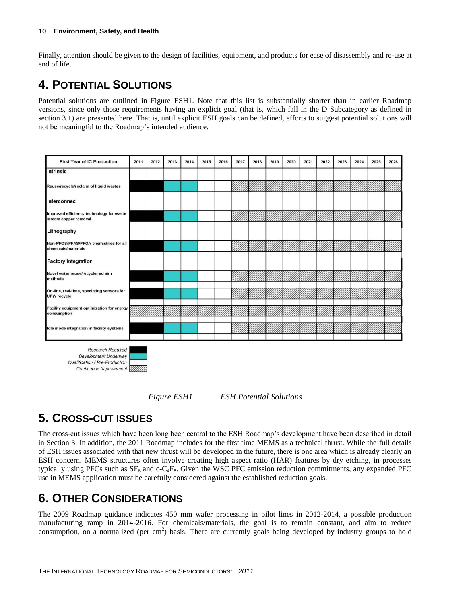Finally, attention should be given to the design of facilities, equipment, and products for ease of disassembly and re-use at end of life.

# <span id="page-11-0"></span>**4. POTENTIAL SOLUTIONS**

Potential solutions are outlined in Figure ESH1. Note that this list is substantially shorter than in earlier Roadmap versions, since only those requirements having an explicit goal (that is, which fall in the D Subcategory as defined in section 3.1) are presented here. That is, until explicit ESH goals can be defined, efforts to suggest potential solutions will not be meaningful to the Roadmap's intended audience.



*Figure ESH1 ESH Potential Solutions*

## <span id="page-11-3"></span><span id="page-11-1"></span>**5. CROSS-CUT ISSUES**

The cross-cut issues which have been long been central to the ESH Roadmap's development have been described in detail in Section 3. In addition, the 2011 Roadmap includes for the first time MEMS as a technical thrust. While the full details of ESH issues associated with that new thrust will be developed in the future, there is one area which is already clearly an ESH concern. MEMS structures often involve creating high aspect ratio (HAR) features by dry etching, in processes typically using PFCs such as  $SF_6$  and c-C<sub>4</sub>F<sub>8</sub>. Given the WSC PFC emission reduction commitments, any expanded PFC use in MEMS application must be carefully considered against the established reduction goals.

## <span id="page-11-2"></span>**6. OTHER CONSIDERATIONS**

The 2009 Roadmap guidance indicates 450 mm wafer processing in pilot lines in 2012-2014, a possible production manufacturing ramp in 2014-2016. For chemicals/materials, the goal is to remain constant, and aim to reduce consumption, on a normalized (per cm<sup>2</sup>) basis. There are currently goals being developed by industry groups to hold